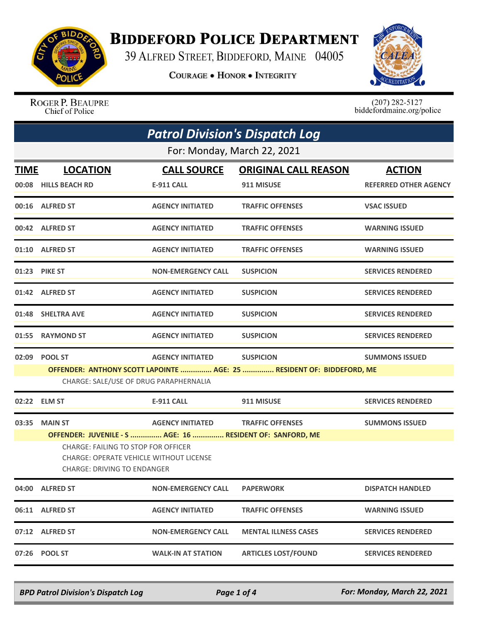

## **BIDDEFORD POLICE DEPARTMENT**

39 ALFRED STREET, BIDDEFORD, MAINE 04005

**COURAGE . HONOR . INTEGRITY** 



ROGER P. BEAUPRE Chief of Police

 $(207)$  282-5127<br>biddefordmaine.org/police

|                             | <b>Patrol Division's Dispatch Log</b>                                                                                                                                                    |                           |                                                                       |                              |  |  |
|-----------------------------|------------------------------------------------------------------------------------------------------------------------------------------------------------------------------------------|---------------------------|-----------------------------------------------------------------------|------------------------------|--|--|
| For: Monday, March 22, 2021 |                                                                                                                                                                                          |                           |                                                                       |                              |  |  |
| <b>TIME</b>                 | <b>LOCATION</b>                                                                                                                                                                          | <b>CALL SOURCE</b>        | <b>ORIGINAL CALL REASON</b>                                           | <b>ACTION</b>                |  |  |
|                             | 00:08 HILLS BEACH RD                                                                                                                                                                     | <b>E-911 CALL</b>         | 911 MISUSE                                                            | <b>REFERRED OTHER AGENCY</b> |  |  |
|                             | 00:16 ALFRED ST                                                                                                                                                                          | <b>AGENCY INITIATED</b>   | <b>TRAFFIC OFFENSES</b>                                               | <b>VSAC ISSUED</b>           |  |  |
|                             | 00:42 ALFRED ST                                                                                                                                                                          | <b>AGENCY INITIATED</b>   | <b>TRAFFIC OFFENSES</b>                                               | <b>WARNING ISSUED</b>        |  |  |
|                             | 01:10 ALFRED ST                                                                                                                                                                          | <b>AGENCY INITIATED</b>   | <b>TRAFFIC OFFENSES</b>                                               | <b>WARNING ISSUED</b>        |  |  |
|                             | 01:23 PIKE ST                                                                                                                                                                            | <b>NON-EMERGENCY CALL</b> | <b>SUSPICION</b>                                                      | <b>SERVICES RENDERED</b>     |  |  |
|                             | 01:42 ALFRED ST                                                                                                                                                                          | <b>AGENCY INITIATED</b>   | <b>SUSPICION</b>                                                      | <b>SERVICES RENDERED</b>     |  |  |
|                             | 01:48 SHELTRA AVE                                                                                                                                                                        | <b>AGENCY INITIATED</b>   | <b>SUSPICION</b>                                                      | <b>SERVICES RENDERED</b>     |  |  |
| 01:55                       | <b>RAYMOND ST</b>                                                                                                                                                                        | <b>AGENCY INITIATED</b>   | <b>SUSPICION</b>                                                      | <b>SERVICES RENDERED</b>     |  |  |
|                             | 02:09 POOL ST                                                                                                                                                                            | <b>AGENCY INITIATED</b>   | <b>SUSPICION</b>                                                      | <b>SUMMONS ISSUED</b>        |  |  |
|                             | CHARGE: SALE/USE OF DRUG PARAPHERNALIA                                                                                                                                                   |                           | OFFENDER: ANTHONY SCOTT LAPOINTE  AGE: 25  RESIDENT OF: BIDDEFORD, ME |                              |  |  |
|                             |                                                                                                                                                                                          |                           |                                                                       |                              |  |  |
|                             | 02:22 ELM ST                                                                                                                                                                             | <b>E-911 CALL</b>         | 911 MISUSE                                                            | <b>SERVICES RENDERED</b>     |  |  |
| 03:35                       | <b>MAIN ST</b>                                                                                                                                                                           | <b>AGENCY INITIATED</b>   | <b>TRAFFIC OFFENSES</b>                                               | <b>SUMMONS ISSUED</b>        |  |  |
|                             | OFFENDER: JUVENILE - S  AGE: 16  RESIDENT OF: SANFORD, ME<br><b>CHARGE: FAILING TO STOP FOR OFFICER</b><br>CHARGE: OPERATE VEHICLE WITHOUT LICENSE<br><b>CHARGE: DRIVING TO ENDANGER</b> |                           |                                                                       |                              |  |  |
|                             | 04:00 ALFRED ST                                                                                                                                                                          | <b>NON-EMERGENCY CALL</b> | <b>PAPERWORK</b>                                                      | <b>DISPATCH HANDLED</b>      |  |  |
|                             | 06:11 ALFRED ST                                                                                                                                                                          | <b>AGENCY INITIATED</b>   | <b>TRAFFIC OFFENSES</b>                                               | <b>WARNING ISSUED</b>        |  |  |
|                             | 07:12 ALFRED ST                                                                                                                                                                          | <b>NON-EMERGENCY CALL</b> | <b>MENTAL ILLNESS CASES</b>                                           | <b>SERVICES RENDERED</b>     |  |  |
|                             | 07:26 POOL ST                                                                                                                                                                            | <b>WALK-IN AT STATION</b> | <b>ARTICLES LOST/FOUND</b>                                            | <b>SERVICES RENDERED</b>     |  |  |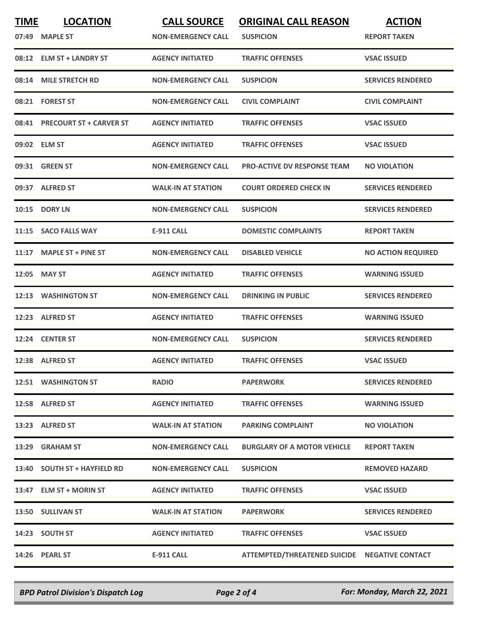| <b>TIME</b> | <b>LOCATION</b><br>07:49 MAPLE ST | <b>CALL SOURCE</b><br><b>NON-EMERGENCY CALL</b> | <b>ORIGINAL CALL REASON</b><br><b>SUSPICION</b> | <b>ACTION</b><br><b>REPORT TAKEN</b> |
|-------------|-----------------------------------|-------------------------------------------------|-------------------------------------------------|--------------------------------------|
|             | 08:12 ELM ST + LANDRY ST          | <b>AGENCY INITIATED</b>                         | <b>TRAFFIC OFFENSES</b>                         | <b>VSAC ISSUED</b>                   |
|             | 08:14 MILE STRETCH RD             | <b>NON-EMERGENCY CALL</b>                       | <b>SUSPICION</b>                                | <b>SERVICES RENDERED</b>             |
|             | 08:21 FOREST ST                   | <b>NON-EMERGENCY CALL</b>                       | <b>CIVIL COMPLAINT</b>                          | <b>CIVIL COMPLAINT</b>               |
|             | 08:41 PRECOURT ST + CARVER ST     | <b>AGENCY INITIATED</b>                         | <b>TRAFFIC OFFENSES</b>                         | <b>VSAC ISSUED</b>                   |
|             | 09:02 ELM ST                      | <b>AGENCY INITIATED</b>                         | <b>TRAFFIC OFFENSES</b>                         | <b>VSAC ISSUED</b>                   |
|             | 09:31 GREEN ST                    | <b>NON-EMERGENCY CALL</b>                       | <b>PRO-ACTIVE DV RESPONSE TEAM</b>              | <b>NO VIOLATION</b>                  |
|             | 09:37 ALFRED ST                   | <b>WALK-IN AT STATION</b>                       | <b>COURT ORDERED CHECK IN</b>                   | <b>SERVICES RENDERED</b>             |
|             | <b>10:15 DORY LN</b>              | <b>NON-EMERGENCY CALL</b>                       | <b>SUSPICION</b>                                | <b>SERVICES RENDERED</b>             |
|             | 11:15 SACO FALLS WAY              | <b>E-911 CALL</b>                               | <b>DOMESTIC COMPLAINTS</b>                      | <b>REPORT TAKEN</b>                  |
|             | 11:17 MAPLE ST + PINE ST          | <b>NON-EMERGENCY CALL</b>                       | <b>DISABLED VEHICLE</b>                         | <b>NO ACTION REQUIRED</b>            |
|             | 12:05 MAY ST                      | <b>AGENCY INITIATED</b>                         | <b>TRAFFIC OFFENSES</b>                         | <b>WARNING ISSUED</b>                |
|             | 12:13 WASHINGTON ST               | <b>NON-EMERGENCY CALL</b>                       | <b>DRINKING IN PUBLIC</b>                       | <b>SERVICES RENDERED</b>             |
| 12:23       | <b>ALFRED ST</b>                  | <b>AGENCY INITIATED</b>                         | <b>TRAFFIC OFFENSES</b>                         | <b>WARNING ISSUED</b>                |
|             | 12:24 CENTER ST                   | <b>NON-EMERGENCY CALL</b>                       | <b>SUSPICION</b>                                | <b>SERVICES RENDERED</b>             |
|             | 12:38 ALFRED ST                   | <b>AGENCY INITIATED</b>                         | <b>TRAFFIC OFFENSES</b>                         | <b>VSAC ISSUED</b>                   |
|             | 12:51 WASHINGTON ST               | <b>RADIO</b>                                    | <b>PAPERWORK</b>                                | <b>SERVICES RENDERED</b>             |
|             | 12:58 ALFRED ST                   | <b>AGENCY INITIATED</b>                         | <b>TRAFFIC OFFENSES</b>                         | <b>WARNING ISSUED</b>                |
|             | 13:23 ALFRED ST                   | <b>WALK-IN AT STATION</b>                       | <b>PARKING COMPLAINT</b>                        | <b>NO VIOLATION</b>                  |
|             | 13:29 GRAHAM ST                   | <b>NON-EMERGENCY CALL</b>                       | <b>BURGLARY OF A MOTOR VEHICLE</b>              | <b>REPORT TAKEN</b>                  |
|             | 13:40 SOUTH ST + HAYFIELD RD      | <b>NON-EMERGENCY CALL</b>                       | <b>SUSPICION</b>                                | <b>REMOVED HAZARD</b>                |
|             | 13:47 ELM ST + MORIN ST           | <b>AGENCY INITIATED</b>                         | <b>TRAFFIC OFFENSES</b>                         | <b>VSAC ISSUED</b>                   |
|             | 13:50 SULLIVAN ST                 | <b>WALK-IN AT STATION</b>                       | <b>PAPERWORK</b>                                | <b>SERVICES RENDERED</b>             |
|             | 14:23 SOUTH ST                    | <b>AGENCY INITIATED</b>                         | <b>TRAFFIC OFFENSES</b>                         | <b>VSAC ISSUED</b>                   |
|             | 14:26 PEARL ST                    | E-911 CALL                                      | ATTEMPTED/THREATENED SUICIDE NEGATIVE CONTACT   |                                      |

*BPD Patrol Division's Dispatch Log Page 2 of 4 For: Monday, March 22, 2021*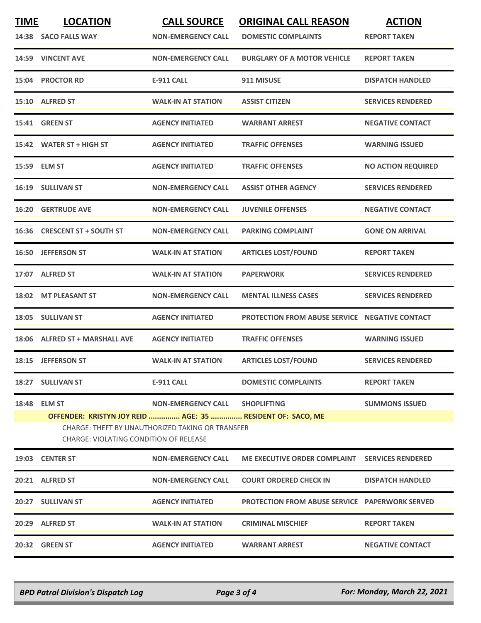| <b>TIME</b><br><b>LOCATION</b><br>14:38 SACO FALLS WAY                                                                                                                                                     | <b>CALL SOURCE</b><br><b>NON-EMERGENCY CALL</b> | <b>ORIGINAL CALL REASON</b><br><b>DOMESTIC COMPLAINTS</b>           | <b>ACTION</b><br><b>REPORT TAKEN</b>           |  |
|------------------------------------------------------------------------------------------------------------------------------------------------------------------------------------------------------------|-------------------------------------------------|---------------------------------------------------------------------|------------------------------------------------|--|
| 14:59 VINCENT AVE                                                                                                                                                                                          | <b>NON-EMERGENCY CALL</b>                       | <b>BURGLARY OF A MOTOR VEHICLE</b>                                  | <b>REPORT TAKEN</b>                            |  |
| 15:04 PROCTOR RD                                                                                                                                                                                           | <b>E-911 CALL</b>                               | 911 MISUSE                                                          | <b>DISPATCH HANDLED</b>                        |  |
| 15:10 ALFRED ST                                                                                                                                                                                            | <b>WALK-IN AT STATION</b>                       | <b>ASSIST CITIZEN</b>                                               | <b>SERVICES RENDERED</b>                       |  |
| 15:41 GREEN ST                                                                                                                                                                                             | <b>AGENCY INITIATED</b>                         | <b>WARRANT ARREST</b>                                               | <b>NEGATIVE CONTACT</b>                        |  |
| 15:42 WATER ST + HIGH ST                                                                                                                                                                                   | <b>AGENCY INITIATED</b>                         | <b>TRAFFIC OFFENSES</b>                                             | <b>WARNING ISSUED</b>                          |  |
| 15:59 ELM ST                                                                                                                                                                                               | <b>AGENCY INITIATED</b>                         | <b>TRAFFIC OFFENSES</b>                                             | <b>NO ACTION REQUIRED</b>                      |  |
| 16:19 SULLIVAN ST                                                                                                                                                                                          | <b>NON-EMERGENCY CALL</b>                       | <b>ASSIST OTHER AGENCY</b>                                          | <b>SERVICES RENDERED</b>                       |  |
| <b>GERTRUDE AVE</b><br>16:20                                                                                                                                                                               | <b>NON-EMERGENCY CALL</b>                       | <b>JUVENILE OFFENSES</b>                                            | <b>NEGATIVE CONTACT</b>                        |  |
| <b>CRESCENT ST + SOUTH ST</b>                                                                                                                                                                              | <b>NON-EMERGENCY CALL</b>                       | <b>PARKING COMPLAINT</b>                                            | <b>GONE ON ARRIVAL</b>                         |  |
| 16:50 JEFFERSON ST                                                                                                                                                                                         | <b>WALK-IN AT STATION</b>                       | <b>ARTICLES LOST/FOUND</b>                                          | <b>REPORT TAKEN</b>                            |  |
| 17:07 ALFRED ST                                                                                                                                                                                            | <b>WALK-IN AT STATION</b>                       | <b>PAPERWORK</b>                                                    | <b>SERVICES RENDERED</b>                       |  |
| 18:02 MT PLEASANT ST                                                                                                                                                                                       | <b>NON-EMERGENCY CALL</b>                       | <b>MENTAL ILLNESS CASES</b>                                         | <b>SERVICES RENDERED</b>                       |  |
| 18:05 SULLIVAN ST                                                                                                                                                                                          | <b>AGENCY INITIATED</b>                         | <b>PROTECTION FROM ABUSE SERVICE NEGATIVE CONTACT</b>               |                                                |  |
| 18:06 ALFRED ST + MARSHALL AVE                                                                                                                                                                             | <b>AGENCY INITIATED</b>                         | <b>TRAFFIC OFFENSES</b>                                             | <b>WARNING ISSUED</b>                          |  |
| 18:15 JEFFERSON ST                                                                                                                                                                                         | <b>WALK-IN AT STATION</b>                       | <b>ARTICLES LOST/FOUND</b>                                          | <b>SERVICES RENDERED</b>                       |  |
| 18:27 SULLIVAN ST                                                                                                                                                                                          | <b>E-911 CALL</b>                               | <b>DOMESTIC COMPLAINTS</b>                                          | <b>REPORT TAKEN</b>                            |  |
| 18:48 ELM ST<br><b>NON-EMERGENCY CALL</b><br><b>SHOPLIFTING</b><br><b>SUMMONS ISSUED</b><br>OFFENDER: KRISTYN JOY REID  AGE: 35  RESIDENT OF: SACO, ME<br>CHARGE: THEFT BY UNAUTHORIZED TAKING OR TRANSFER |                                                 |                                                                     |                                                |  |
|                                                                                                                                                                                                            |                                                 |                                                                     |                                                |  |
|                                                                                                                                                                                                            |                                                 |                                                                     |                                                |  |
| 20:21 ALFRED ST                                                                                                                                                                                            | <b>NON-EMERGENCY CALL</b>                       | <b>COURT ORDERED CHECK IN</b>                                       | <b>DISPATCH HANDLED</b>                        |  |
| 20:27 SULLIVAN ST                                                                                                                                                                                          | <b>AGENCY INITIATED</b>                         | <b>PROTECTION FROM ABUSE SERVICE PAPERWORK SERVED</b>               |                                                |  |
| 20:29 ALFRED ST                                                                                                                                                                                            | <b>WALK-IN AT STATION</b>                       | <b>CRIMINAL MISCHIEF</b>                                            | <b>REPORT TAKEN</b>                            |  |
| 20:32 GREEN ST                                                                                                                                                                                             | <b>AGENCY INITIATED</b>                         | <b>WARRANT ARREST</b>                                               | <b>NEGATIVE CONTACT</b>                        |  |
|                                                                                                                                                                                                            | 19:03 CENTER ST                                 | CHARGE: VIOLATING CONDITION OF RELEASE<br><b>NON-EMERGENCY CALL</b> | ME EXECUTIVE ORDER COMPLAINT SERVICES RENDERED |  |

*BPD Patrol Division's Dispatch Log Page 3 of 4 For: Monday, March 22, 2021*